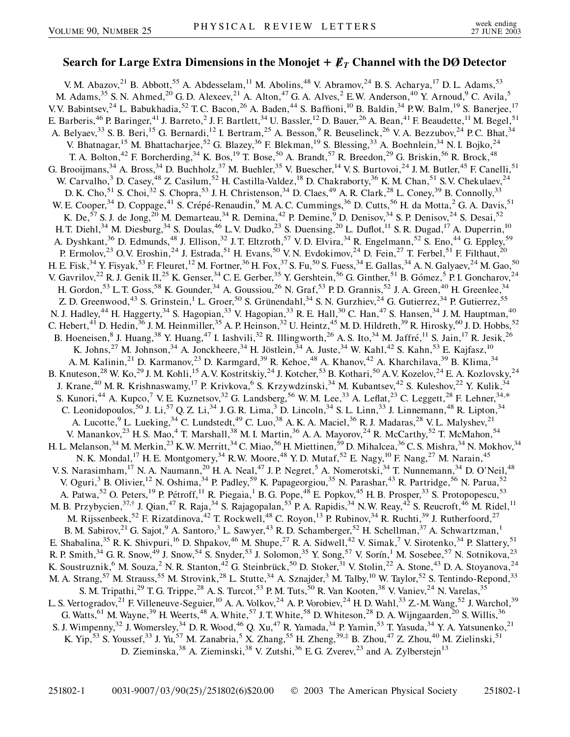## Search for Large Extra Dimensions in the Monojet  $+ E_T$  Channel with the DØ Detector

V. M. Abazov,<sup>21</sup> B. Abbott,<sup>55</sup> A. Abdesselam,<sup>11</sup> M. Abolins,<sup>48</sup> V. Abramov,<sup>24</sup> B. S. Acharya,<sup>17</sup> D. L. Adams,<sup>53</sup> M. Adams,<sup>35</sup> S. N. Ahmed,<sup>20</sup> G. D. Alexeev,<sup>21</sup> A. Alton,<sup>47</sup> G. A. Alves,<sup>2</sup> E.W. Anderson,<sup>40</sup> Y. Arnoud,<sup>9</sup> C. Avila,<sup>5</sup> V.V. Babintsev,<sup>24</sup> L. Babukhadia,<sup>52</sup> T.C. Bacon,<sup>26</sup> A. Baden,<sup>44</sup> S. Baffioni,<sup>10</sup> B. Baldin,<sup>34</sup> P.W. Balm,<sup>19</sup> S. Banerjee,<sup>17</sup> E. Barberis, <sup>46</sup> P. Baringer, <sup>41</sup> J. Barreto, <sup>2</sup> J. F. Bartlett, <sup>34</sup> U. Bassler, <sup>12</sup> D. Bauer, <sup>26</sup> A. Bean, <sup>41</sup> F. Beaudette, <sup>11</sup> M. Begel, <sup>51</sup> A. Belyaev,  $33$  S. B. Beri,  $15$  G. Bernardi,  $12$  I. Bertram,  $25$  A. Besson,  $9$  R. Beuselinck,  $26$  V. A. Bezzubov,  $24$  P. C. Bhat,  $34$ V. Bhatnagar,<sup>15</sup> M. Bhattacharjee,<sup>52</sup> G. Blazey,<sup>36</sup> F. Blekman,<sup>19</sup> S. Blessing,<sup>33</sup> A. Boehnlein,<sup>34</sup> N. I. Bojko,<sup>24</sup> T. A. Bolton,<sup>42</sup> F. Borcherding,<sup>34</sup> K. Bos,<sup>19</sup> T. Bose,<sup>50</sup> A. Brandt,<sup>57</sup> R. Breedon,<sup>29</sup> G. Briskin,<sup>56</sup> R. Brock,<sup>48</sup> G. Brooijmans,<sup>34</sup> A. Bross,<sup>34</sup> D. Buchholz,<sup>37</sup> M. Buehler,<sup>35</sup> V. Buescher,<sup>14</sup> V. S. Burtovoi,<sup>24</sup> J. M. Butler,<sup>45</sup> F. Canelli,<sup>51</sup> W. Carvalho,<sup>3</sup> D. Casey,<sup>48</sup> Z. Casilum,<sup>52</sup> H. Castilla-Valdez,<sup>18</sup> D. Chakraborty,<sup>36</sup> K. M. Chan,<sup>51</sup> S.V. Chekulaev,<sup>24</sup> D. K. Cho,<sup>51</sup> S. Choi,<sup>32</sup> S. Chopra,<sup>53</sup> J. H. Christenson,<sup>34</sup> D. Claes,<sup>49</sup> A. R. Clark,<sup>28</sup> L. Coney,<sup>39</sup> B. Connolly,<sup>33</sup> W. E. Cooper,<sup>34</sup> D. Coppage,<sup>41</sup> S. Crépé-Renaudin,<sup>9</sup> M. A. C. Cummings,<sup>36</sup> D. Cutts,<sup>56</sup> H. da Motta,<sup>2</sup> G. A. Davis,<sup>51</sup> K. De,  $\frac{57}{7}$  S. J. de Jong,  $20$  M. Demarteau,  $34$  R. Demina,  $42$  P. Demine,  $9$  D. Denisov,  $34$  S. P. Denisov,  $24$  S. Desai,  $52$ H.T. Diehl,<sup>34</sup> M. Diesburg,<sup>34</sup> S. Doulas,<sup>46</sup> L.V. Dudko,<sup>23</sup> S. Duensing,<sup>20</sup> L. Duflot,<sup>11</sup> S. R. Dugad,<sup>17</sup> A. Duperrin,<sup>10</sup> A. Dyshkant,<sup>36</sup> D. Edmunds,<sup>48</sup> J. Ellison,<sup>32</sup> J.T. Eltzroth,<sup>57</sup> V.D. Elvira,<sup>34</sup> R. Engelmann,<sup>52</sup> S. Eno,<sup>44</sup> G. Eppley,<sup>59</sup> P. Ermolov,<sup>23</sup> O.V. Eroshin,<sup>24</sup> J. Estrada,<sup>51</sup> H. Evans,<sup>50</sup> V.N. Evdokimov,<sup>24</sup> D. Fein,<sup>27</sup> T. Ferbel,<sup>51</sup> F. Filthaut,<sup>20</sup> H. E. Fisk,<sup>34</sup> Y. Fisyak,<sup>53</sup> F. Fleuret,<sup>12</sup> M. Fortner,<sup>36</sup> H. Fox,<sup>37</sup> S. Fu,<sup>50</sup> S. Fuess,<sup>34</sup> E. Gallas,<sup>34</sup> A. N. Galyaev,<sup>24</sup> M. Gao,<sup>50</sup> V. Gavrilov,<sup>22</sup> R. J. Genik II,<sup>25</sup> K. Genser,<sup>34</sup> C. E. Gerber,<sup>35</sup> Y. Gershtein,<sup>56</sup> G. Ginther,<sup>51</sup> B. Gómez,<sup>5</sup> P. I. Goncharov,<sup>24</sup> H. Gordon,<sup>53</sup> L.T. Goss,<sup>58</sup> K. Gounder,<sup>34</sup> A. Goussiou,<sup>26</sup> N. Graf,<sup>53</sup> P.D. Grannis,<sup>52</sup> J. A. Green,<sup>40</sup> H. Greenlee,<sup>34</sup> Z. D. Greenwood,<sup>43</sup> S. Grinstein,<sup>1</sup> L. Groer,<sup>50</sup> S. Grünendahl,<sup>34</sup> S. N. Gurzhiev,<sup>24</sup> G. Gutierrez,<sup>34</sup> P. Gutierrez,<sup>55</sup> N. J. Hadley,<sup>44</sup> H. Haggerty,<sup>34</sup> S. Hagopian,<sup>33</sup> V. Hagopian,<sup>33</sup> R. E. Hall,<sup>30</sup> C. Han,<sup>47</sup> S. Hansen,<sup>34</sup> J. M. Hauptman,<sup>40</sup> C. Hebert,<sup>41</sup> D. Hedin,<sup>36</sup> J. M. Heinmiller,<sup>35</sup> A. P. Heinson,<sup>32</sup> U. Heintz,<sup>45</sup> M. D. Hildreth,<sup>39</sup> R. Hirosky,<sup>60</sup> J. D. Hobbs,<sup>52</sup> B. Hoeneisen, <sup>8</sup> J. Huang, <sup>38</sup> Y. Huang, <sup>47</sup> I. Iashvili, <sup>32</sup> R. Illingworth, <sup>26</sup> A. S. Ito, <sup>34</sup> M. Jaffré, <sup>11</sup> S. Jain, <sup>17</sup> R. Jesik, <sup>26</sup> K. Johns,<sup>27</sup> M. Johnson,<sup>34</sup> A. Jonckheere,<sup>34</sup> H. Jöstlein,<sup>34</sup> A. Juste,<sup>34</sup> W. Kahl,<sup>42</sup> S. Kahn,<sup>53</sup> E. Kajfasz,<sup>10</sup> A. M. Kalinin,<sup>21</sup> D. Karmanov,<sup>23</sup> D. Karmgard,<sup>39</sup> R. Kehoe,<sup>48</sup> A. Khanov,<sup>42</sup> A. Kharchilava,<sup>39</sup> B. Klima,<sup>34</sup> B. Knuteson,<sup>28</sup> W. Ko,<sup>29</sup> J. M. Kohli,<sup>15</sup> A.V. Kostritskiy,<sup>24</sup> J. Kotcher,<sup>53</sup> B. Kothari,<sup>50</sup> A.V. Kozelov,<sup>24</sup> E. A. Kozlovsky,<sup>24</sup> J. Krane,<sup>40</sup> M. R. Krishnaswamy,<sup>17</sup> P. Krivkova,<sup>6</sup> S. Krzywdzinski,<sup>34</sup> M. Kubantsev,<sup>42</sup> S. Kuleshov,<sup>22</sup> Y. Kulik,<sup>3</sup> S. Kunori,<sup>44</sup> A. Kupco,<sup>7</sup> V. E. Kuznetsov,<sup>32</sup> G. Landsberg,<sup>56</sup> W. M. Lee,<sup>33</sup> A. Leflat,<sup>23</sup> C. Leggett,<sup>28</sup> F. Lehner,<sup>34,\*</sup> C. Leonidopoulos,  $^{50}$  J. Li,  $^{57}$  Q. Z. Li,  $^{34}$  J. G. R. Lima,  $^3$  D. Lincoln,  $^{34}$  S. L. Linn,  $^{33}$  J. Linnemann,  $^{48}$  R. Lipton,  $^{34}$ A. Lucotte, <sup>9</sup> L. Lueking, <sup>34</sup> C. Lundstedt, <sup>49</sup> C. Luo, <sup>38</sup> A. K. A. Maciel, <sup>36</sup> R. J. Madaras, <sup>28</sup> V. L. Malyshev, <sup>21</sup> V. Manankov,  $2^3$  H. S. Mao,  $4$  T. Marshall,  $3^8$  M. I. Martin,  $3^6$  A. A. Mayorov,  $2^4$  R. McCarthy,  $5^2$  T. McMahon,  $5^4$ H. L. Melanson,<sup>34</sup> M. Merkin,<sup>23</sup> K.W. Merritt,<sup>34</sup> C. Miao,<sup>56</sup> H. Miettinen,<sup>59</sup> D. Mihalcea,<sup>36</sup> C. S. Mishra,<sup>34</sup> N. Mokhov,<sup>34</sup> N. K. Mondal, <sup>17</sup> H. E. Montgomery, <sup>34</sup> R. W. Moore, <sup>48</sup> Y. D. Mutaf, <sup>52</sup> E. Nagy, <sup>10</sup> F. Nang, <sup>27</sup> M. Narain, <sup>45</sup> V. S. Narasimham, <sup>17</sup> N. A. Naumann, <sup>20</sup> H. A. Neal, <sup>47</sup> J. P. Negret, <sup>5</sup> A. Nomerotski, <sup>34</sup> T. Nunnemann, <sup>34</sup> D. O'Neil, <sup>48</sup> V. Oguri,<sup>3</sup> B. Olivier,<sup>12</sup> N. Oshima,<sup>34</sup> P. Padley,<sup>59</sup> K. Papageorgiou,<sup>35</sup> N. Parashar,<sup>43</sup> R. Partridge,<sup>56</sup> N. Parua,<sup>52</sup> A. Patwa,<sup>52</sup> O. Peters,<sup>19</sup> P. Pétroff,<sup>11</sup> R. Piegaia,<sup>1</sup> B. G. Pope,<sup>48</sup> E. Popkov,<sup>45</sup> H. B. Prosper,<sup>33</sup> S. Protopopescu,<sup>53</sup> M. B. Przybycien,<sup>37,†</sup> J. Qian,<sup>47</sup> R. Raja,<sup>34</sup> S. Rajagopalan,<sup>53</sup> P. A. Rapidis,<sup>34</sup> N.W. Reay,<sup>42</sup> S. Reucroft,<sup>46</sup> M. Ridel,<sup>11</sup> M. Rijssenbeek,<sup>52</sup> F. Rizatdinova,<sup>42</sup> T. Rockwell,<sup>48</sup> C. Royon,<sup>13</sup> P. Rubinov,<sup>34</sup> R. Ruchti,<sup>39</sup> J. Rutherfoord,<sup>27</sup> B. M. Sabirov,<sup>21</sup> G. Sajot,<sup>9</sup> A. Santoro,<sup>3</sup> L. Sawyer,<sup>43</sup> R. D. Schamberger,<sup>52</sup> H. Schellman,<sup>37</sup> A. Schwartzman,<sup>1</sup> E. Shabalina,<sup>35</sup> R. K. Shivpuri,<sup>16</sup> D. Shpakov,<sup>46</sup> M. Shupe,<sup>27</sup> R. A. Sidwell,<sup>42</sup> V. Simak,<sup>7</sup> V. Sirotenko,<sup>34</sup> P. Slattery,<sup>51</sup> R. P. Smith,<sup>34</sup> G. R. Snow,<sup>49</sup> J. Snow,<sup>54</sup> S. Snyder,<sup>53</sup> J. Solomon,<sup>35</sup> Y. Song,<sup>57</sup> V. Sorín,<sup>1</sup> M. Sosebee,<sup>57</sup> N. Sotnikova,<sup>23</sup> K. Soustruznik,<sup>6</sup> M. Souza,<sup>2</sup> N. R. Stanton,<sup>42</sup> G. Steinbrück,<sup>50</sup> D. Stoker,<sup>31</sup> V. Stolin,<sup>22</sup> A. Stone,<sup>43</sup> D. A. Stoyanova,<sup>24</sup> M. A. Strang,<sup>57</sup> M. Strauss,<sup>55</sup> M. Strovink,<sup>28</sup> L. Stutte,<sup>34</sup> A. Sznajder,<sup>3</sup> M. Talby,<sup>10</sup> W. Taylor,<sup>52</sup> S. Tentindo-Repond,<sup>33</sup> S. M. Tripathi,<sup>29</sup> T. G. Trippe,<sup>28</sup> A. S. Turcot,<sup>53</sup> P. M. Tuts,<sup>50</sup> R. Van Kooten,<sup>38</sup> V. Vaniev,<sup>24</sup> N. Varelas,<sup>35</sup> L. S. Vertogradov,<sup>21</sup> F. Villeneuve-Seguier,<sup>10</sup> A. A. Volkov,<sup>24</sup> A. P. Vorobiev,<sup>24</sup> H. D. Wahl,<sup>33</sup> Z.-M. Wang,<sup>52</sup> J. Warchol,<sup>39</sup> G. Watts, <sup>61</sup> M. Wayne, <sup>39</sup> H. Weerts, <sup>48</sup> A. White, <sup>57</sup> J. T. White, <sup>58</sup> D. Whiteson, <sup>28</sup> D. A. Wijngaarden, <sup>20</sup> S. Willis, <sup>36</sup> S. J. Wimpenny,<sup>32</sup> J. Womersley,<sup>34</sup> D. R. Wood,<sup>46</sup> Q. Xu,<sup>47</sup> R. Yamada,<sup>34</sup> P. Yamin,<sup>53</sup> T. Yasuda,<sup>34</sup> Y. A. Yatsunenko,<sup>21</sup> K. Yip,<sup>53</sup> S. Youssef,<sup>33</sup> J. Yu,<sup>57</sup> M. Zanabria,<sup>5</sup> X. Zhang,<sup>55</sup> H. Zheng,<sup>39,‡</sup> B. Zhou,<sup>47</sup> Z. Zhou,<sup>40</sup> M. Zielinski,<sup>51</sup> D. Zieminska,<sup>38</sup> A. Zieminski,<sup>38</sup> V. Zutshi,<sup>36</sup> E. G. Zverev,<sup>23</sup> and A. Zylberstejn<sup>13</sup>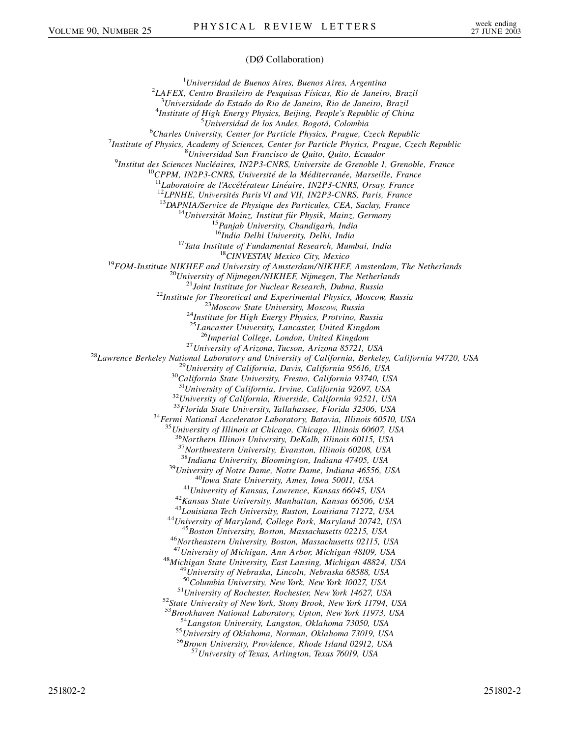## (DØ Collaboration)

 $1$ Universidad de Buenos Aires, Buenos Aires, Argentina *Universidad de Buenos Aires, Buenos Aires, Argentina* <sup>2</sup> *LAFEX, Centro Brasileiro de Pesquisas Fı´sicas, Rio de Janeiro, Brazil* <sup>3</sup> *Universidade do Estado do Rio de Janeiro, Rio de Janeiro, Brazil* <sup>4</sup> <sup>4</sup>Institute of High Energy Physics, Beijing, People's Republic of China<br><sup>5</sup>Universidad de los Andes, Bogotá, Colombia <sup>5</sup> Universidad de los Andes, Bogotá, Colombia<sup>6</sup><br><sup>6</sup> Charles University, Center for Particle Physics, Praque, C *Charles University, Center for Particle Physics, Prague, Czech Republic* <sup>7</sup> *Institute of Physics, Academy of Sciences, Center for Particle Physics, Prague, Czech Republic* <sup>8</sup> <sup>9</sup>Institut des Sciences Nucléaires, IN2P3-CNRS, Universite de Grenoble 1, Grenoble, France <sup>10</sup>CPPM, IN2P3-CNRS, Université de la Méditerranée, Marseille, France<br><sup>11</sup>Laboratoire de l'Accélérateur Linéaire, IN2P3-CNRS, Orsay, France<br><sup>12</sup>LPNHE, Universités Paris VI and VII, IN2P3-CNRS, Paris, France<br><sup>13</sup>DAPNIA/Se <sup>17</sup>Tata Institute of Fundamental Research, Mumbai, India<br><sup>18</sup>CINVESTAV, Mexico City, Mexico<br><sup>19</sup>FOM-Institute NIKHEF and University of Amsterdam/NIKHEF, Amsterdam, The Netherlands<br><sup>20</sup>University of Nijmegen/NIKHEF, Nijme <sup>25</sup>*Lancaster University, Lancaster, United Kingdom* <sup>27</sup> University of Arizona, Tucson, Arizona 85721, USA<br><sup>28</sup> Lawrence Berkeley National Laboratory and University of California, Berkeley, California 94720, USA<br><sup>29</sup> University of California, Davis, California 95616, USA<br><sup></sup> <sup>32</sup>University of California, Riverside, California 92521, USA<br><sup>33</sup>Florida State University, Tallahassee, Florida 32306, USA <sup>34</sup> Fermi National Accelerator Laboratory, Batavia, Illinois 60510, USA <sup>35</sup> University of Illinois at Chicago, Chicago, Illinois 60607, USA<br><sup>36</sup>Northern Illinois University, DeKalb, Illinois 60115, USA<br><sup>37</sup>Northwestern University, Evanston, Illinois 60208, USA <sup>38</sup>Indiana University, Bloomington, Indiana 47405, USA<br><sup>39</sup>University of Notre Dame, Notre Dame, Indiana 46556, USA<br><sup>40</sup>Iowa State University, Ames, Iowa 50011, USA<br><sup>41</sup>University of Kansas, Lawrence, Kansas 66045, USA<br><sup></sup> <sup>48</sup>*Michigan State University, East Lansing, Michigan 48824, USA*<br><sup>49</sup>*University of Nebraska, Lincoln, Nebraska 68588, USA*<br><sup>50</sup>*Columbia University, New York, New York 10027, USA* <sup>50</sup>*Columbia University, New York, New York 10027, USA* <sup>51</sup>*University of Rochester, Rochester, New York 14627, USA* <sup>52</sup>*State University of New York, Stony Brook, New York 11794, USA* <sup>53</sup>*Brookhaven National Laboratory, Upton, New York 11973, USA* <sup>54</sup>*Langston University, Langston, Oklahoma 73050, USA* <sup>55</sup>*University of Oklahoma, Norman, Oklahoma 73019, USA* <sup>56</sup>*Brown University, Providence, Rhode Island 02912, USA* <sup>57</sup>*University of Texas, Arlington, Texas 76019, USA*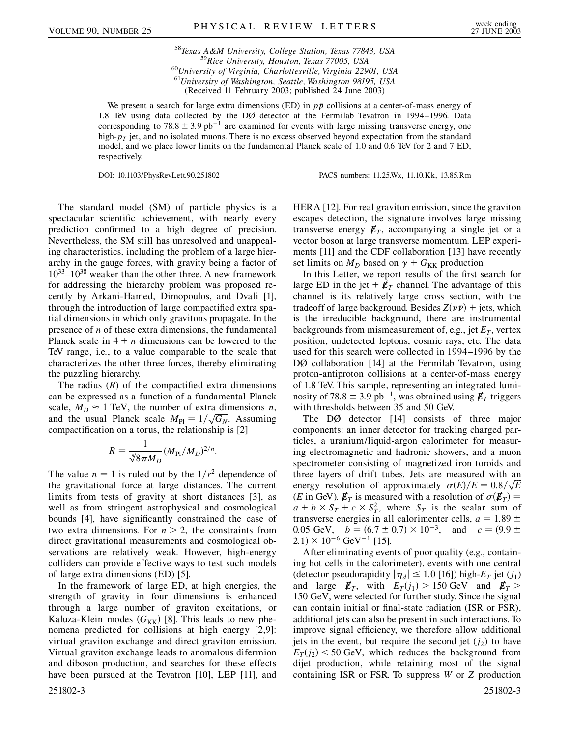<sup>58</sup>*Texas A&M University, College Station, Texas 77843, USA* <sup>59</sup>*Rice University, Houston, Texas 77005, USA* <sup>60</sup>*University of Virginia, Charlottesville, Virginia 22901, USA* <sup>61</sup>*University of Washington, Seattle, Washington 98195, USA* (Received 11 February 2003; published 24 June 2003)

We present a search for large extra dimensions (ED) in  $p\bar{p}$  collisions at a center-of-mass energy of 1.8 TeV using data collected by the DØ detector at the Fermilab Tevatron in 1994–1996. Data corresponding to  $78.8 \pm 3.9$  pb<sup>-1</sup> are examined for events with large missing transverse energy, one high- $p_T$  jet, and no isolated muons. There is no excess observed beyond expectation from the standard model, and we place lower limits on the fundamental Planck scale of 1.0 and 0.6 TeV for 2 and 7 ED, respectively.

DOI: 10.1103/PhysRevLett.90.251802 PACS numbers: 11.25.Wx, 11.10.Kk, 13.85.Rm

The standard model (SM) of particle physics is a spectacular scientific achievement, with nearly every prediction confirmed to a high degree of precision. Nevertheless, the SM still has unresolved and unappealing characteristics, including the problem of a large hierarchy in the gauge forces, with gravity being a factor of 1033–1038 weaker than the other three. A new framework for addressing the hierarchy problem was proposed recently by Arkani-Hamed, Dimopoulos, and Dvali [1], through the introduction of large compactified extra spatial dimensions in which only gravitons propagate. In the presence of *n* of these extra dimensions, the fundamental Planck scale in  $4 + n$  dimensions can be lowered to the TeV range, i.e., to a value comparable to the scale that characterizes the other three forces, thereby eliminating the puzzling hierarchy.

The radius  $(R)$  of the compactified extra dimensions can be expressed as a function of a fundamental Planck scale,  $M_D \approx 1$  TeV, the number of extra dimensions *n*, scale,  $M_D \approx 1$  fev, the number of extra dimensions *n*,<br>and the usual Planck scale  $M_{\text{Pl}} = 1/\sqrt{G_N}$ . Assuming compactification on a torus, the relationship is [2]

$$
R = \frac{1}{\sqrt[n]{8\pi}M_D} (M_{\rm Pl}/M_D)^{2/n}.
$$

The value  $n = 1$  is ruled out by the  $1/r^2$  dependence of the gravitational force at large distances. The current limits from tests of gravity at short distances [3], as well as from stringent astrophysical and cosmological bounds [4], have significantly constrained the case of two extra dimensions. For  $n > 2$ , the constraints from direct gravitational measurements and cosmological observations are relatively weak. However, high-energy colliders can provide effective ways to test such models of large extra dimensions (ED) [5].

In the framework of large ED, at high energies, the strength of gravity in four dimensions is enhanced through a large number of graviton excitations, or Kaluza-Klein modes  $(G_{KK})$  [8]. This leads to new phenomena predicted for collisions at high energy [2,9]: virtual graviton exchange and direct graviton emission. Virtual graviton exchange leads to anomalous difermion and diboson production, and searches for these effects have been pursued at the Tevatron [10], LEP [11], and HERA [12]. For real graviton emission, since the graviton escapes detection, the signature involves large missing transverse energy  $\not{E}_T$ , accompanying a single jet or a vector boson at large transverse momentum. LEP experiments [11] and the CDF collaboration [13] have recently set limits on  $M_D$  based on  $\gamma + G_{KK}$  production.

In this Letter, we report results of the first search for large ED in the jet  $+$   $\not{\!\not\! E}_T$  channel. The advantage of this channel is its relatively large cross section, with the tradeoff of large background. Besides  $Z(\nu \bar{\nu})$  + jets, which is the irreducible background, there are instrumental backgrounds from mismeasurement of, e.g., jet  $E_T$ , vertex position, undetected leptons, cosmic rays, etc. The data used for this search were collected in 1994–1996 by the DØ collaboration [14] at the Fermilab Tevatron, using proton-antiproton collisions at a center-of-mass energy of 1.8 TeV. This sample, representing an integrated luminosity of 78.8  $\pm$  3.9 pb<sup>-1</sup>, was obtained using  $\not\hspace{-1.2mm}E_{T}$  triggers with thresholds between 35 and 50 GeV.

The DØ detector [14] consists of three major components: an inner detector for tracking charged particles, a uranium/liquid-argon calorimeter for measuring electromagnetic and hadronic showers, and a muon spectrometer consisting of magnetized iron toroids and three layers of drift tubes. Jets are measured with an energy resolution of approximately  $\sigma(E)/E = 0.8/\sqrt{E}$ (*E* in GeV).  $\not\hspace{-.15cm}/F_T$  is measured with a resolution of  $\sigma(\cancel{E}_T)$  =  $a + b \times S_T + c \times S_T^2$ , where  $S_T$  is the scalar sum of transverse energies in all calorimenter cells,  $a = 1.89 \pm$ 0.05 GeV,  $b = (6.7 \pm 0.7) \times 10^{-3}$ , and  $c = (9.9 \pm 0.7)$  $2.1) \times 10^{-6}$  GeV<sup>-1</sup> [15].

After eliminating events of poor quality (e.g., containing hot cells in the calorimeter), events with one central (detector pseudorapidity  $|\eta_d| \leq 1.0$  [16]) high- $E_T$  jet  $(j_1)$ and large  $\not\hspace{-.15cm}/F_T$ , with  $E_T(j_1) > 150 \text{ GeV}$  and  $\not\hspace{-.15cm}/F_T > 150 \text{ GeV}$ 150 GeV, were selected for further study. Since the signal can contain initial or final-state radiation (ISR or FSR), additional jets can also be present in such interactions. To improve signal efficiency, we therefore allow additional jets in the event, but require the second jet  $(j_2)$  to have  $E_T(j_2)$  < 50 GeV, which reduces the background from dijet production, while retaining most of the signal containing ISR or FSR. To suppress *W* or *Z* production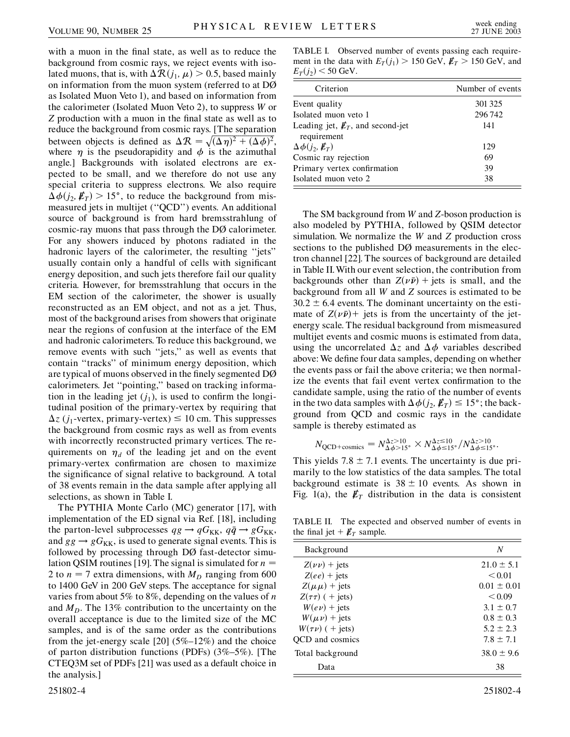with a muon in the final state, as well as to reduce the background from cosmic rays, we reject events with isolated muons, that is, with  $\Delta \mathcal{R}(j_1, \mu) > 0.5$ , based mainly on information from the muon system (referred to at DØ as Isolated Muon Veto 1), and based on information from the calorimeter (Isolated Muon Veto 2), to suppress *W* or *Z* production with a muon in the final state as well as to reduce the background from cosmic rays. [The separation between objects is defined as  $\Delta \mathcal{R} = \sqrt{(\Delta \eta)^2 + (\Delta \phi)^2}$ , where  $\eta$  is the pseudorapidity and  $\phi$  is the azimuthal angle.] Backgrounds with isolated electrons are expected to be small, and we therefore do not use any special criteria to suppress electrons. We also require  $\Delta \phi(j_2, \mathbf{E}_T) > 15^\circ$ , to reduce the background from mismeasured jets in multijet (''QCD'') events. An additional source of background is from hard bremsstrahlung of cosmic-ray muons that pass through the DØ calorimeter. For any showers induced by photons radiated in the hadronic layers of the calorimeter, the resulting "jets" usually contain only a handful of cells with significant energy deposition, and such jets therefore fail our quality criteria. However, for bremsstrahlung that occurs in the EM section of the calorimeter, the shower is usually reconstructed as an EM object, and not as a jet. Thus, most of the background arises from showers that originate near the regions of confusion at the interface of the EM and hadronic calorimeters. To reduce this background, we remove events with such ''jets,'' as well as events that contain ''tracks'' of minimum energy deposition, which are typical of muons observed in the finely segmented DØ calorimeters. Jet ''pointing,'' based on tracking information in the leading jet  $(j_1)$ , is used to confirm the longitudinal position of the primary-vertex by requiring that  $\Delta z$  (*j*<sub>1</sub>-vertex, primary-vertex)  $\leq 10$  cm. This suppresses the background from cosmic rays as well as from events with incorrectly reconstructed primary vertices. The requirements on  $\eta_d$  of the leading jet and on the event primary-vertex confirmation are chosen to maximize the significance of signal relative to background. A total of 38 events remain in the data sample after applying all selections, as shown in Table I.

The PYTHIA Monte Carlo (MC) generator [17], with implementation of the ED signal via Ref. [18], including the parton-level subprocesses  $qg \rightarrow qG_{KK}$ ,  $q\bar{q} \rightarrow gG_{KK}$ , and  $gg \rightarrow gG_{KK}$ , is used to generate signal events. This is followed by processing through DØ fast-detector simulation QSIM routines [19]. The signal is simulated for *n* 2 to  $n = 7$  extra dimensions, with  $M_D$  ranging from 600 to 1400 GeV in 200 GeV steps. The acceptance for signal varies from about 5% to 8%, depending on the values of *n* and  $M<sub>D</sub>$ . The 13% contribution to the uncertainty on the overall acceptance is due to the limited size of the MC samples, and is of the same order as the contributions from the jet-energy scale  $[20]$  (5%–12%) and the choice of parton distribution functions (PDFs) (3%–5%). [The CTEQ3M set of PDFs [21] was used as a default choice in the analysis.]

TABLE I. Observed number of events passing each requirement in the data with  $E_T(j_1) > 150$  GeV,  $\not\hspace{-.15cm}/F_T > 150$  GeV, and  $E_T(j_2)$  < 50 GeV.

| Criterion                                            | Number of events |
|------------------------------------------------------|------------------|
| Event quality                                        | 301 325          |
| Isolated muon veto 1                                 | 296742           |
| Leading jet, $\not{\!\mathbb{E}_T}$ , and second-jet | 141              |
| requirement                                          |                  |
| $\Delta \phi(j_2, \not\hspace{-.1cm}E_T)$            | 129              |
| Cosmic ray rejection                                 | 69               |
| Primary vertex confirmation                          | 39               |
| Isolated muon veto 2                                 | 38               |

The SM background from *W* and *Z*-boson production is also modeled by PYTHIA, followed by QSIM detector simulation. We normalize the *W* and *Z* production cross sections to the published DØ measurements in the electron channel [22]. The sources of background are detailed in Table II.With our event selection, the contribution from backgrounds other than  $Z(\nu \bar{\nu})$  + jets is small, and the background from all *W* and *Z* sources is estimated to be  $30.2 \pm 6.4$  events. The dominant uncertainty on the estimate of  $Z(\nu \bar{\nu})$  + jets is from the uncertainty of the jetenergy scale. The residual background from mismeasured multijet events and cosmic muons is estimated from data, using the uncorrelated  $\Delta z$  and  $\Delta \phi$  variables described above: We define four data samples, depending on whether the events pass or fail the above criteria; we then normalize the events that fail event vertex confirmation to the candidate sample, using the ratio of the number of events in the two data samples with  $\Delta \phi(j_2, \mathbf{E}_T) \leq 15^{\circ}$ ; the background from QCD and cosmic rays in the candidate sample is thereby estimated as

$$
N_{\rm QCD+cosmics}=N_{\Delta\phi>15^\circ}^{\Delta z>10}\times N_{\Delta\phi\leq15^\circ}^{\Delta z\leq10}/N_{\Delta\phi\leq15^\circ}^{\Delta z>10}.
$$

This yields  $7.8 \pm 7.1$  events. The uncertainty is due primarily to the low statistics of the data samples. The total background estimate is  $38 \pm 10$  events. As shown in Fig. 1(a), the  $\not\!\!\!E_T$  distribution in the data is consistent

TABLE II. The expected and observed number of events in the final jet  $+$   $\not\!\!E_T$  sample.

| Background              | N              |
|-------------------------|----------------|
| $Z(\nu\nu)$ + jets      | $21.0 \pm 5.1$ |
| $Z(ee)$ + jets          | < 0.01         |
| $Z(\mu\mu)$ + jets      | $0.01 + 0.01$  |
| $Z(\tau\tau)$ ( + jets) | < 0.09         |
| $W(e\nu)$ + jets        | $3.1 + 0.7$    |
| $W(\mu \nu)$ + jets     | $0.8 \pm 0.3$  |
| $W(\tau \nu)$ ( + jets) | $5.2 + 2.3$    |
| OCD and cosmics         | $7.8 \pm 7.1$  |
| Total background        | $38.0 \pm 9.6$ |
| Data                    | 38             |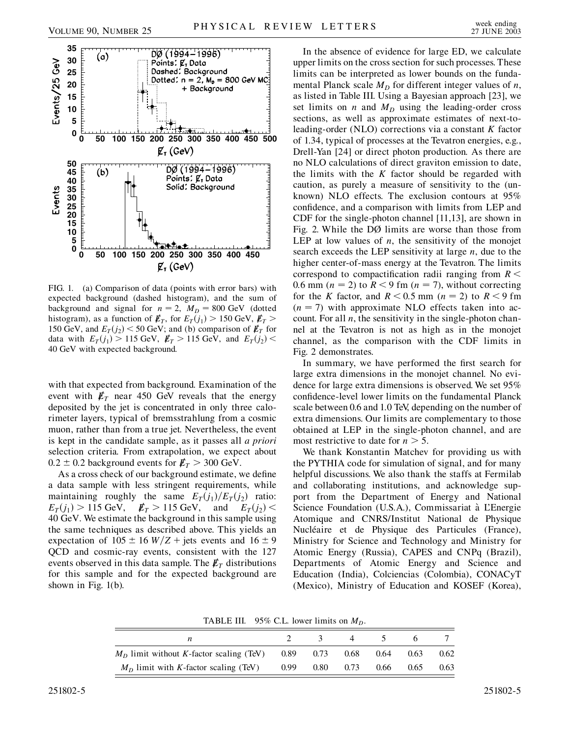

FIG. 1. (a) Comparison of data (points with error bars) with expected background (dashed histogram), and the sum of background and signal for  $n = 2$ ,  $M_D = 800$  GeV (dotted histogram), as a function of  $\n *E*<sub>T</sub>, for *E*<sub>T</sub>(*j*<sub>1</sub>) > 150 GeV, *E*<sub>T</sub> >$ 150 GeV, and  $E_T(j_2)$  < 50 GeV; and (b) comparison of  $\not \! \! E_T$  for data with  $E_T(j_1) > 115 \text{ GeV}, E_T > 115 \text{ GeV}, \text{ and } E_T(j_2) <$ 40 GeV with expected background.

with that expected from background. Examination of the event with  $E_T$  near 450 GeV reveals that the energy deposited by the jet is concentrated in only three calorimeter layers, typical of bremsstrahlung from a cosmic muon, rather than from a true jet. Nevertheless, the event is kept in the candidate sample, as it passes all *a priori* selection criteria. From extrapolation, we expect about  $0.2 \pm 0.2$  background events for  $E_T > 300$  GeV.

As a cross check of our background estimate, we define a data sample with less stringent requirements, while maintaining roughly the same  $E_T(j_1)/E_T(j_2)$  ratio:  $E_T(j_1) > 115 \text{ GeV}, \quad \not{E}_T > 115 \text{ GeV}, \quad \text{and} \quad E_T(j_2) <$ 40 GeV. We estimate the background in this sample using the same techniques as described above. This yields an expectation of  $105 \pm 16$  *W*/Z + jets events and  $16 \pm 9$ QCD and cosmic-ray events, consistent with the 127 events observed in this data sample. The  $\not\hspace{-1.2mm}/E_{T}$  distributions for this sample and for the expected background are shown in Fig. 1(b).

In the absence of evidence for large ED, we calculate upper limits on the cross section for such processes. These limits can be interpreted as lower bounds on the fundamental Planck scale  $M_D$  for different integer values of *n*, as listed in Table III. Using a Bayesian approach [23], we set limits on  $n$  and  $M_D$  using the leading-order cross sections, as well as approximate estimates of next-toleading-order (NLO) corrections via a constant *K* factor of 1.34, typical of processes at the Tevatron energies, e.g., Drell-Yan [24] or direct photon production. As there are no NLO calculations of direct graviton emission to date, the limits with the *K* factor should be regarded with caution, as purely a measure of sensitivity to the (unknown) NLO effects. The exclusion contours at 95% confidence, and a comparison with limits from LEP and CDF for the single-photon channel [11,13], are shown in Fig. 2. While the DØ limits are worse than those from LEP at low values of  $n$ , the sensitivity of the monojet search exceeds the LEP sensitivity at large *n*, due to the higher center-of-mass energy at the Tevatron. The limits correspond to compactification radii ranging from *R <* 0.6 mm  $(n = 2)$  to  $R < 9$  fm  $(n = 7)$ , without correcting for the *K* factor, and  $R < 0.5$  mm ( $n = 2$ ) to  $R < 9$  fm  $(n = 7)$  with approximate NLO effects taken into account. For all  $n$ , the sensitivity in the single-photon channel at the Tevatron is not as high as in the monojet channel, as the comparison with the CDF limits in Fig. 2 demonstrates.

In summary, we have performed the first search for large extra dimensions in the monojet channel. No evidence for large extra dimensions is observed. We set 95% confidence-level lower limits on the fundamental Planck scale between 0.6 and 1.0 TeV, depending on the number of extra dimensions. Our limits are complementary to those obtained at LEP in the single-photon channel, and are most restrictive to date for *n >* 5.

We thank Konstantin Matchev for providing us with the PYTHIA code for simulation of signal, and for many helpful discussions. We also thank the staffs at Fermilab and collaborating institutions, and acknowledge support from the Department of Energy and National Science Foundation (U.S.A.), Commissariat à L'Energie Atomique and CNRS/Institut National de Physique Nucléaire et de Physique des Particules (France), Ministry for Science and Technology and Ministry for Atomic Energy (Russia), CAPES and CNPq (Brazil), Departments of Atomic Energy and Science and Education (India), Colciencias (Colombia), CONACyT (Mexico), Ministry of Education and KOSEF (Korea),

TABLE III. 95% C.L. lower limits on  $M_D$ .

|                                                      |      | 4                 | $\sim$ 5 |      |      |
|------------------------------------------------------|------|-------------------|----------|------|------|
| $M_D$ limit without K-factor scaling (TeV) 0.89 0.73 |      | 0.68              | 0.64     | 0.63 | 0.62 |
| $M_D$ limit with K-factor scaling (TeV)              | 0.99 | $0.80\qquad 0.73$ | 0.66     | 0.65 | 0.63 |